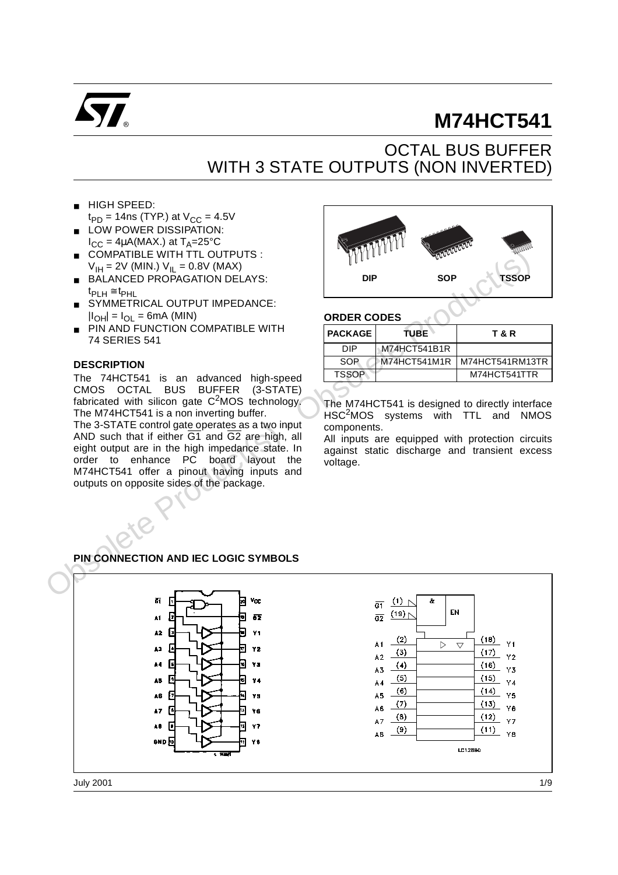

# **M74HCT541**

# OCTAL BUS BUFFER WITH 3 STATE OUTPUTS (NON INVERTED)

- HIGH SPEED:
- $t_{PD}$  = 14ns (TYP.) at  $V_{CC}$  = 4.5V LOW POWER DISSIPATION:
- $I_{CC} = 4\mu A(MAX.)$  at  $T_A = 25^{\circ}C$ ■ COMPATIBLE WITH TTL OUTPUTS :
- $V_{\text{IH}} = 2V$  (MIN.)  $V_{\text{IL}} = 0.8V$  (MAX)
- BALANCED PROPAGATION DELAYS:  $t_{PIH} \cong t_{PHL}$
- SYMMETRICAL OUTPUT IMPEDANCE:  $|I_{OH}| = I_{OL} = 6mA$  (MIN)
- PIN AND FUNCTION COMPATIBLE WITH 74 SERIES 541

### **DESCRIPTION**

The 74HCT541 is an advanced high-speed CMOS OCTAL BUS BUFFER (3-STATE) fabricated with silicon gate  $C^2$ MOS technology. The M74HCT541 is a non inverting buffer.

The 3-STATE control gate operates as a two input AND such that if either  $\overline{G1}$  and  $\overline{G2}$  are high, all eight output are in the high impedance state. In order to enhance PC board layout the M74HCT541 offer a pinout having inputs and outputs on opposite sides of the package.



### **ORDER CODES**

| <b>PACKAGE</b> | TUBE.        | T & R           |
|----------------|--------------|-----------------|
| DIP            | M74HCT541B1R |                 |
| SOP            | M74HCT541M1R | M74HCT541RM13TR |
| <b>TSSOP</b>   |              | M74HCT541TTR    |
|                |              |                 |

The M74HCT541 is designed to directly interface HSC<sup>2</sup>MOS systems with TTL and NMOS components.

All inputs are equipped with protection circuits against static discharge and transient excess voltage.

# **PIN CONNECTION AND IEC LOGIC SYMBOLS**

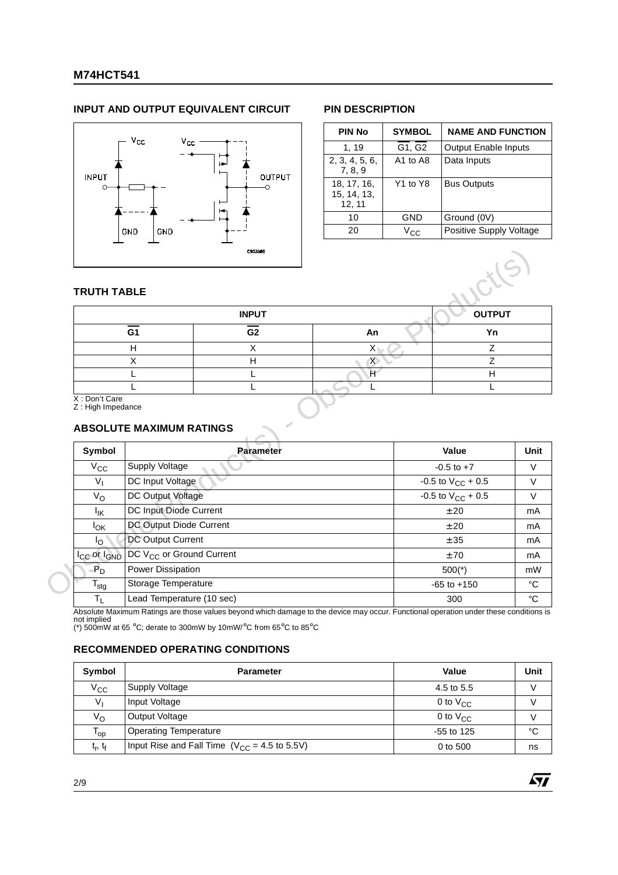# **M74HCT541**

## **INPUT AND OUTPUT EQUIVALENT CIRCUIT PIN DESCRIPTION**



| <b>PIN No</b>                        | <b>SYMBOL</b> | <b>NAME AND FUNCTION</b>    |
|--------------------------------------|---------------|-----------------------------|
| 1, 19                                | G1, G2        | <b>Output Enable Inputs</b> |
| 2, 3, 4, 5, 6,<br>7, 8, 9            | A1 to A8      | Data Inputs                 |
| 18, 17, 16,<br>15, 14, 13,<br>12, 11 | Y1 to Y8      | <b>Bus Outputs</b>          |
| 10                                   | GND           | Ground (0V)                 |
| 20                                   | Vcc           | Positive Supply Voltage     |

57

### **TRUTH TABLE**

|                                        | <b>INPUT</b>   |           | <b>OUTPUT</b> |
|----------------------------------------|----------------|-----------|---------------|
| G1                                     | G <sub>2</sub> | An        | Yn            |
|                                        |                | $\lambda$ |               |
|                                        |                | ⌒         |               |
|                                        |                |           |               |
| $\mathbf{v}$ $\mathbf{v}$ $\mathbf{v}$ |                |           |               |

# **ABSOLUTE MAXIMUM RATINGS**

| <b>TRUTH TABLE</b>                  |                                             |                  |                         |                                  |                |
|-------------------------------------|---------------------------------------------|------------------|-------------------------|----------------------------------|----------------|
|                                     |                                             | <b>INPUT</b>     |                         |                                  | <b>OUTPUT</b>  |
|                                     | $\overline{G1}$                             | G <sub>2</sub>   | An                      |                                  | Yn             |
|                                     | H                                           | X                | $\mathsf{X}$            |                                  | Z              |
|                                     | X                                           | H                | $\chi$                  |                                  | Z              |
|                                     | L                                           | L                | $\overline{\mathbb{H}}$ |                                  | $\overline{H}$ |
| X: Don't Care                       |                                             | L                | L                       |                                  | L              |
| Symbol                              | <b>ABSOLUTE MAXIMUM RATINGS</b>             | <b>Parameter</b> |                         | Value                            |                |
|                                     |                                             |                  |                         |                                  |                |
| $V_{\rm CC}$                        | Supply Voltage                              |                  |                         | $-0.5$ to $+7$                   |                |
| $V_{I}$                             | DC Input Voltage                            |                  |                         | -0.5 to $V_{CC}$ + 0.5           |                |
| $V_{\rm O}$                         | DC Output Voltage<br>DC Input Diode Current |                  |                         | $-0.5$ to $V_{CC}$ + 0.5<br>± 20 |                |
| Ιĸ<br>$I_{OK}$                      | DC Output Diode Current                     |                  |                         | ± 20                             |                |
| $\mathsf{I}_{\Omega}$               | <b>DC Output Current</b>                    |                  |                         | ± 35                             |                |
| I <sub>CC</sub> or I <sub>GND</sub> | DC V <sub>CC</sub> or Ground Current        |                  |                         | ±70                              |                |
| $P_D$                               | Power Dissipation                           |                  |                         | $500(*)$                         |                |
| $\mathsf{T}_{\mathsf{stg}}$         | Storage Temperature                         |                  |                         | $-65$ to $+150$                  |                |

Absolute Maximum Ratings are those values beyond which damage to the device may occur. Functional operation under these conditions is not implied (\*) 500mW at 65 °C; derate to 300mW by 10mW/°C from 65°C to 85°C

# **RECOMMENDED OPERATING CONDITIONS**

| Symbol                    | <b>Parameter</b>                                  | Value         | Unit |
|---------------------------|---------------------------------------------------|---------------|------|
| $V_{\rm CC}$              | Supply Voltage                                    | 4.5 to 5.5    |      |
| V,                        | Input Voltage                                     | 0 to $V_{CC}$ |      |
| $V_{\rm O}$               | Output Voltage                                    | 0 to $V_{CC}$ |      |
| l op                      | <b>Operating Temperature</b>                      | $-55$ to 125  | °C   |
| $t_{\rm r}$ , $t_{\rm f}$ | Input Rise and Fall Time $(V_{CC} = 4.5$ to 5.5V) | 0 to 500      | ns   |

2/9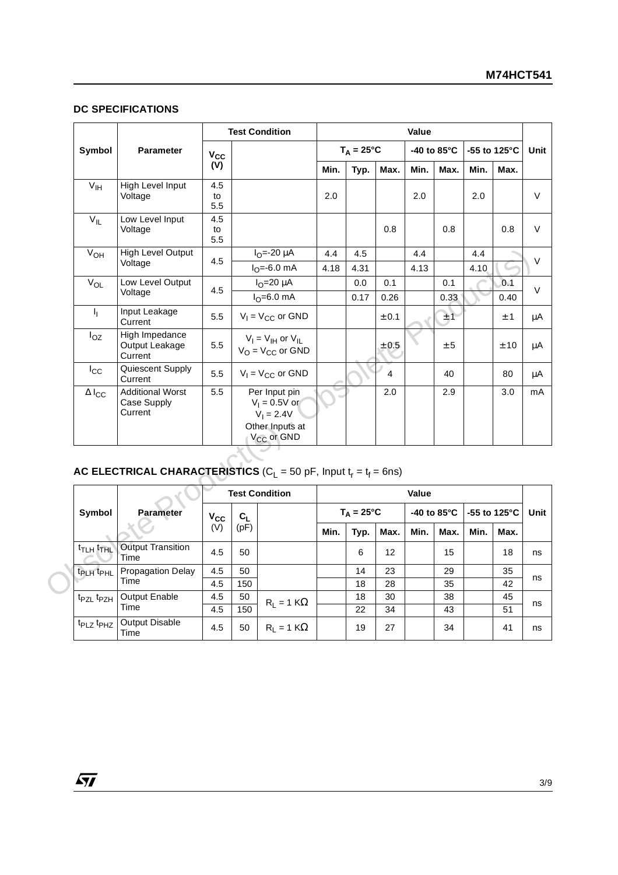### **DC SPECIFICATIONS**

|                                         |                                                                          |                  |               | <b>Test Condition</b>                                                                         |             |                             |             | Value       |                     |             |                      |  |
|-----------------------------------------|--------------------------------------------------------------------------|------------------|---------------|-----------------------------------------------------------------------------------------------|-------------|-----------------------------|-------------|-------------|---------------------|-------------|----------------------|--|
| Symbol                                  | Parameter                                                                | $V_{CC}$         |               |                                                                                               |             | $T_A = 25^{\circ}C$         |             |             | -40 to 85°C         |             | -55 to 125°C         |  |
|                                         |                                                                          | (V)              |               |                                                                                               | Min.        | Typ.                        | Max.        | Min.        | Max.                | Min.        | Max.                 |  |
| V <sub>IH</sub>                         | High Level Input<br>Voltage                                              | 4.5<br>to<br>5.5 |               |                                                                                               | 2.0         |                             |             | 2.0         |                     | 2.0         |                      |  |
| $V_{IL}$                                | Low Level Input<br>Voltage                                               | 4.5<br>to<br>5.5 |               |                                                                                               |             |                             | 0.8         |             | 0.8                 |             | 0.8                  |  |
| $V_{OH}$                                | <b>High Level Output</b><br>Voltage                                      | 4.5              |               | $I_{O} = -20 \mu A$<br>$IO=-6.0$ mA                                                           | 4.4<br>4.18 | 4.5<br>4.31                 |             | 4.4<br>4.13 |                     | 4.4<br>4.10 |                      |  |
| $V_{OL}$                                | Low Level Output<br>Voltage                                              | 4.5              |               | $I_{O} = 20 \mu A$<br>$I_0 = 6.0$ mA                                                          |             | 0.0<br>0.17                 | 0.1<br>0.26 |             | 0.1<br>0.33         |             | 0.1<br>0.40          |  |
| $\mathbf{I}_{\mathbf{I}}$               | Input Leakage<br>Current                                                 | 5.5              |               | $V_1 = V_{CC}$ or GND                                                                         |             |                             | $\pm$ 0.1   |             | ±1                  |             | $\pm$ 1              |  |
| $I_{OZ}$                                | High Impedance<br>Output Leakage<br>Current                              | 5.5              |               | $V_I = V_{IH}$ or $V_{IL}$<br>$V_O = V_{CC}$ or GND                                           |             |                             | $\pm$ 0.5   |             | ± 5                 |             | ± 10                 |  |
| $I_{\rm CC}$                            | Quiescent Supply<br>Current                                              | 5.5              |               | $V_1 = V_{CC}$ or GND                                                                         |             |                             | 4           |             | 40                  |             | 80                   |  |
| $\Delta I_{\rm CC}$                     | <b>Additional Worst</b><br>Case Supply<br>Current                        | 5.5              |               | Per Input pin<br>$V_1 = 0.5V$ or<br>$V_1 = 2.4V$<br>Other Inputs at<br>V <sub>CC</sub> or GND |             |                             | 2.0         |             | 2.9                 |             | 3.0                  |  |
|                                         | AC ELECTRICAL CHARACTERISTICS ( $C_L$ = 50 pF, Input $t_r = t_f = 6$ ns) |                  |               |                                                                                               |             |                             |             |             |                     |             |                      |  |
|                                         |                                                                          |                  |               | <b>Test Condition</b>                                                                         |             |                             |             | Value       |                     |             |                      |  |
| Symbol                                  | <b>Parameter</b>                                                         | $V_{CC}$<br>(V)  | $C_L$<br>(pF) |                                                                                               | Min.        | $T_A = 25^{\circ}C$<br>Typ. | Max.        | Min.        | -40 to 85°C<br>Max. | Min.        | -55 to 125°C<br>Max. |  |
| <b>t<sub>TLH</sub></b> t <sub>THL</sub> | <b>Output Transition</b><br>Time                                         | 4.5              | 50            |                                                                                               |             | 6                           | 12          |             | 15                  |             | 18                   |  |
| t <sub>PLH</sub> t <sub>PHL</sub>       | <b>Propagation Delay</b><br>Time                                         | 4.5<br>4.5       | 50<br>150     |                                                                                               |             | 14<br>18                    | 23<br>28    |             | 29<br>35            |             | 35<br>42             |  |
| t <sub>PZL</sub> t <sub>PZH</sub>       | Output Enable<br>Time                                                    | 4.5<br>4.5       | 50<br>150     | $R_L = 1 K\Omega$                                                                             |             | 18<br>22                    | 30<br>34    |             | 38<br>43            |             | 45<br>51             |  |
| t <sub>PLZ</sub> t <sub>PHZ</sub>       | Output Disable<br>Time                                                   | 4.5              | 50            | $R_L = 1 K\Omega$                                                                             |             | 19                          | 27          |             | 34                  |             | 41                   |  |

# $\texttt{AC ELECTRICAL CHARACTERISTICS}$  (C<sub>L</sub> = 50 pF, Input t<sub>r</sub> = t<sub>f</sub> = 6ns)

|                                   |                                  | <b>Test Condition</b> |                |                      | Value |                     |      |      |                        |      |                         |      |
|-----------------------------------|----------------------------------|-----------------------|----------------|----------------------|-------|---------------------|------|------|------------------------|------|-------------------------|------|
| Symbol                            | <b>Parameter</b>                 | $V_{\rm CC}$          | c <sub>L</sub> |                      |       | $T_A = 25^{\circ}C$ |      |      | -40 to 85 $^{\circ}$ C |      | -55 to 125 $^{\circ}$ C | Unit |
|                                   |                                  | (V)                   | (pF)           |                      | Min.  | Typ.                | Max. | Min. | Max.                   | Min. | Max.                    |      |
| <sup>t</sup> TLH <sup>t</sup> THL | <b>Output Transition</b><br>Time | 4.5                   | 50             |                      |       | 6                   | 12   |      | 15                     |      | 18                      | ns   |
| t <sub>PLH</sub> t <sub>PHL</sub> | Propagation Delay                | 4.5                   | 50             |                      |       | 14                  | 23   |      | 29                     |      | 35                      |      |
|                                   | Time                             | 4.5                   | 150            |                      |       | 18                  | 28   |      | 35                     |      | 42                      | ns   |
| t <sub>PZL</sub> t <sub>PZH</sub> | Output Enable                    | 4.5                   | 50             | $R_1 = 1 K\Omega$    |       | 18                  | 30   |      | 38                     |      | 45                      |      |
|                                   | Time                             | 4.5                   | 150            |                      |       | 22                  | 34   |      | 43                     |      | 51                      | ns   |
| t <sub>PLZ</sub> t <sub>PHZ</sub> | <b>Output Disable</b><br>Time    | 4.5                   | 50             | $R_1 = 1$ K $\Omega$ |       | 19                  | 27   |      | 34                     |      | 41                      | ns   |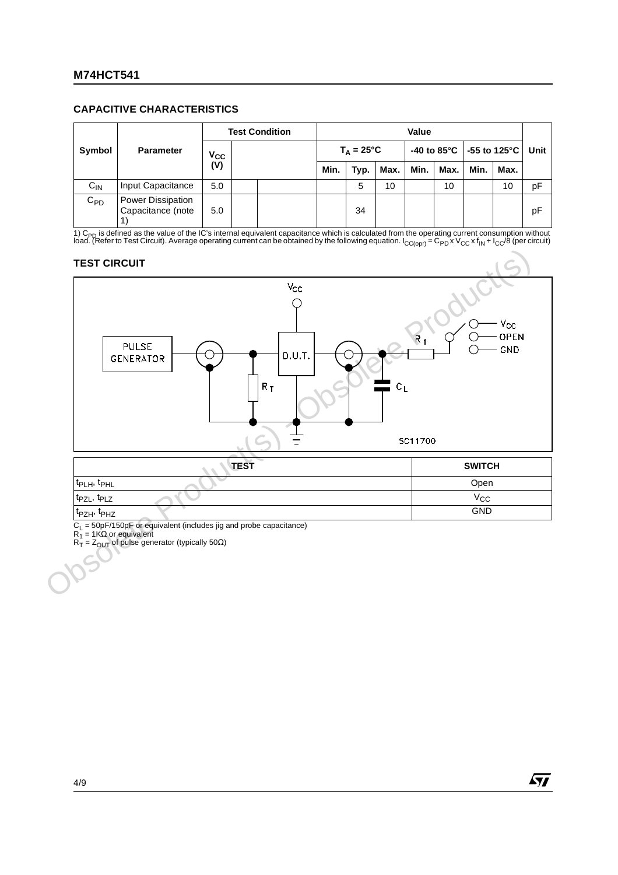### **CAPACITIVE CHARACTERISTICS**

|          |                                        |                            | <b>Test Condition</b> |  | Value |                     |      |      |      |      |                            |      |
|----------|----------------------------------------|----------------------------|-----------------------|--|-------|---------------------|------|------|------|------|----------------------------|------|
| Symbol   | <b>Parameter</b>                       | $\mathsf{v}_{\mathsf{cc}}$ |                       |  |       | $T_A = 25^{\circ}C$ |      |      |      |      | -40 to 85°C   -55 to 125°C | Unit |
|          |                                        | $\overline{\text{(V)}}$    |                       |  | Min.  | Typ.                | Max. | Min. | Max. | Min. | Max.                       |      |
| $C_{IN}$ | Input Capacitance                      | 5.0                        |                       |  |       | 5                   | 10   |      | 10   |      | 10                         | pF   |
| $C_{PD}$ | Power Dissipation<br>Capacitance (note | 5.0                        |                       |  |       | 34                  |      |      |      |      |                            | рF   |

1) C<sub>PD</sub> is defined as the value of the IC's internal equivalent capacitance which is calculated from the operating current consumption without<br>load. (Refer to Test Circuit). Average operating current can be obtained by th

### **TEST CIRCUIT**



t<sub>PZH</sub>, t<sub>PHZ</sub> GND

 $C_L$  = 50pF/150pF or equivalent (includes jig and probe capacitance)

 $R_1$  = 1KΩ or equivalent

 $R_T = Z_{\text{OUT}}$  of pulse generator (typically 50 $\Omega$ )

57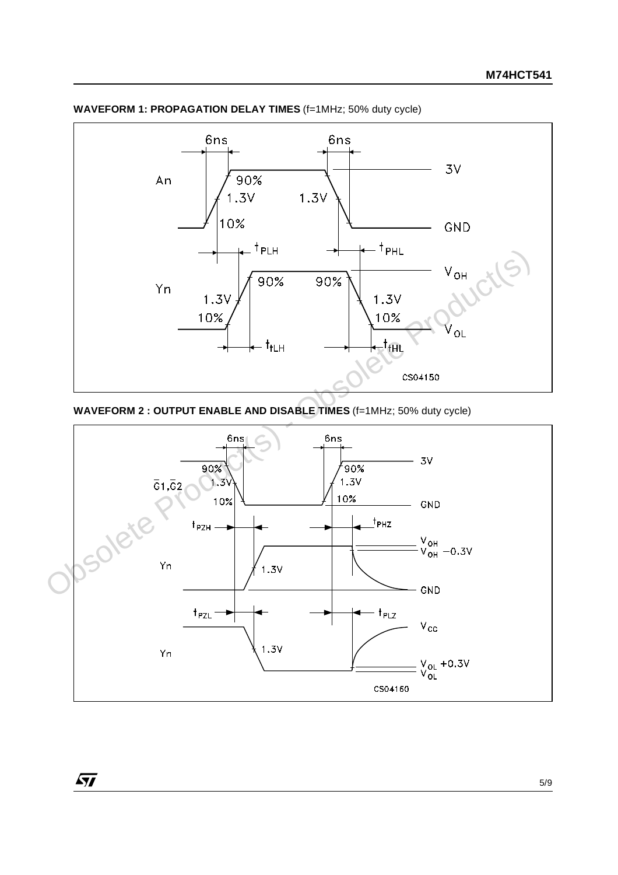

**WAVEFORM 1: PROPAGATION DELAY TIMES** (f=1MHz; 50% duty cycle)



 $\sqrt{27}$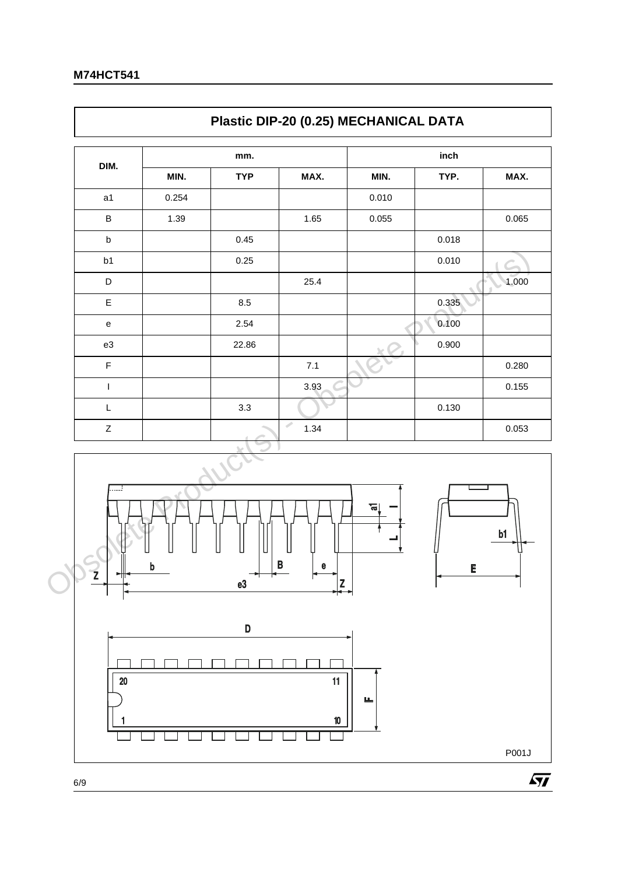$\Gamma$ 

|                |       | Plastic DIP-20 (0.25) MECHANICAL DATA |                                                                                                                                                                                                                                        |       |       |       |
|----------------|-------|---------------------------------------|----------------------------------------------------------------------------------------------------------------------------------------------------------------------------------------------------------------------------------------|-------|-------|-------|
| DIM.           |       | mm.                                   |                                                                                                                                                                                                                                        |       | inch  |       |
|                | MIN.  | <b>TYP</b>                            | MAX.                                                                                                                                                                                                                                   | MIN.  | TYP.  | MAX.  |
| a <sub>1</sub> | 0.254 |                                       |                                                                                                                                                                                                                                        | 0.010 |       |       |
| B              | 1.39  |                                       | 1.65                                                                                                                                                                                                                                   | 0.055 |       | 0.065 |
| $\mathsf b$    |       | 0.45                                  |                                                                                                                                                                                                                                        |       | 0.018 |       |
| b1             |       | 0.25                                  |                                                                                                                                                                                                                                        |       | 0.010 |       |
| D              |       |                                       | 25.4                                                                                                                                                                                                                                   |       |       | 1.000 |
| E              |       | 8.5                                   |                                                                                                                                                                                                                                        |       | 0.335 |       |
| ${\bf e}$      |       | 2.54                                  |                                                                                                                                                                                                                                        |       | 0.100 |       |
| e3             |       | 22.86                                 |                                                                                                                                                                                                                                        |       | 0.900 |       |
| F              |       |                                       | 7.1                                                                                                                                                                                                                                    |       |       | 0.280 |
| ı              |       |                                       | 3.93                                                                                                                                                                                                                                   |       |       | 0.155 |
| L              |       | 3.3                                   |                                                                                                                                                                                                                                        |       | 0.130 |       |
| $\mathsf Z$    |       |                                       | s de la provincia de la provincia de la provincia de la provincia de la provincia de la provincia de la provincia de la provincia de la provincia de la provincia de la provincia de la provincia de la provincia de la provin<br>1.34 |       |       | 0.053 |





٦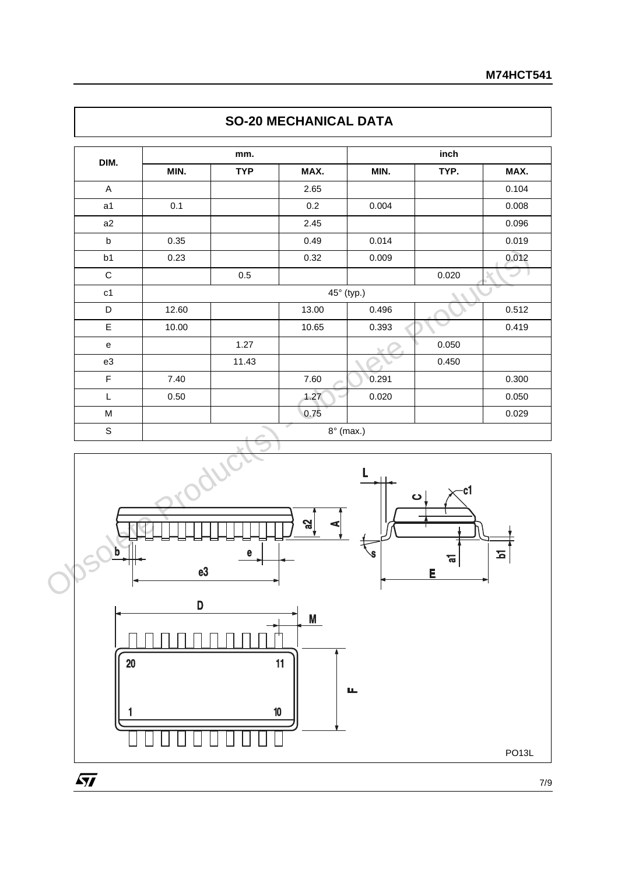| <b>TYP</b><br>MAX.<br>TYP.<br>MIN.<br>MIN.<br>$\mathsf{A}$<br>2.65<br>0.2<br>a1<br>0.1<br>0.004<br>a2<br>2.45<br>0.014<br>$\sf b$<br>0.35<br>0.49<br>b1<br>0.23<br>0.32<br>0.009<br>$\mathbf C$<br>$0.5\,$<br>0.020<br>45° (typ.)<br>c1<br>D<br>0.496<br>12.60<br>13.00<br>$\mathsf E$<br>0.393<br>10.00<br>10.65<br>1.27<br>0.050<br>$\mathsf{e}% _{0}\left( \mathsf{e}\right)$<br>11.43<br>0.450<br>e3<br>$\mathsf F$<br>0.291<br>7.40<br>7.60<br>$\mathsf{L}% _{0}\left( \mathsf{L}_{0}\right) ^{\ast }=\mathsf{L}_{0}\left( \mathsf{L}_{0}\right) ^{\ast }$<br>0.50<br>1.27<br>0.020<br>0.75<br>M<br>$\overline{\phantom{a}}$<br>$\mathsf S$<br>$8^\circ$ (max.)<br>$\ddot{\phantom{0}}$ |      | mm. | inch |  |              |  |
|----------------------------------------------------------------------------------------------------------------------------------------------------------------------------------------------------------------------------------------------------------------------------------------------------------------------------------------------------------------------------------------------------------------------------------------------------------------------------------------------------------------------------------------------------------------------------------------------------------------------------------------------------------------------------------------------|------|-----|------|--|--------------|--|
|                                                                                                                                                                                                                                                                                                                                                                                                                                                                                                                                                                                                                                                                                              | DIM. |     |      |  | MAX.         |  |
|                                                                                                                                                                                                                                                                                                                                                                                                                                                                                                                                                                                                                                                                                              |      |     |      |  | 0.104        |  |
|                                                                                                                                                                                                                                                                                                                                                                                                                                                                                                                                                                                                                                                                                              |      |     |      |  | 0.008        |  |
|                                                                                                                                                                                                                                                                                                                                                                                                                                                                                                                                                                                                                                                                                              |      |     |      |  | 0.096        |  |
|                                                                                                                                                                                                                                                                                                                                                                                                                                                                                                                                                                                                                                                                                              |      |     |      |  | 0.019        |  |
|                                                                                                                                                                                                                                                                                                                                                                                                                                                                                                                                                                                                                                                                                              |      |     |      |  | 0.012        |  |
|                                                                                                                                                                                                                                                                                                                                                                                                                                                                                                                                                                                                                                                                                              |      |     |      |  | $\mathbb{D}$ |  |
|                                                                                                                                                                                                                                                                                                                                                                                                                                                                                                                                                                                                                                                                                              |      |     |      |  |              |  |
|                                                                                                                                                                                                                                                                                                                                                                                                                                                                                                                                                                                                                                                                                              |      |     |      |  | 0.512        |  |
|                                                                                                                                                                                                                                                                                                                                                                                                                                                                                                                                                                                                                                                                                              |      |     |      |  | 0.419        |  |
|                                                                                                                                                                                                                                                                                                                                                                                                                                                                                                                                                                                                                                                                                              |      |     |      |  |              |  |
|                                                                                                                                                                                                                                                                                                                                                                                                                                                                                                                                                                                                                                                                                              |      |     |      |  |              |  |
|                                                                                                                                                                                                                                                                                                                                                                                                                                                                                                                                                                                                                                                                                              |      |     |      |  | 0.300        |  |
|                                                                                                                                                                                                                                                                                                                                                                                                                                                                                                                                                                                                                                                                                              |      |     |      |  | 0.050        |  |
|                                                                                                                                                                                                                                                                                                                                                                                                                                                                                                                                                                                                                                                                                              |      |     |      |  | 0.029        |  |
|                                                                                                                                                                                                                                                                                                                                                                                                                                                                                                                                                                                                                                                                                              |      |     |      |  |              |  |
| പ്പ<br>b<br>e<br>ਛ                                                                                                                                                                                                                                                                                                                                                                                                                                                                                                                                                                                                                                                                           |      |     |      |  | $\mathbf{z}$ |  |

# **SO-20 MECHANICAL DATA**



7/9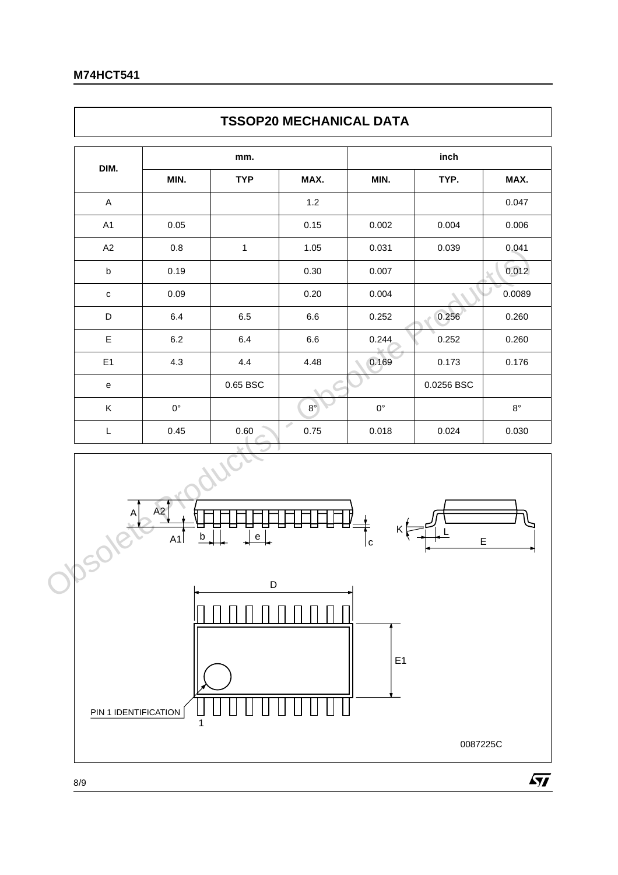$\mathsf{r}$ 

| <b>TYP</b><br>$\mathbf{1}$<br>$6.5\,$<br>6.4<br>4.4 | MAX.<br>$1.2$<br>0.15<br>1.05<br>$0.30\,$<br>0.20<br>$6.6\,$<br>$6.6\,$<br>4.48 | MIN.<br>0.002<br>0.031<br>0.007<br>0.004<br>0.252<br>0.244 | TYP.<br>0.004<br>0.039<br>0.256<br>0.252 | MAX.           |
|-----------------------------------------------------|---------------------------------------------------------------------------------|------------------------------------------------------------|------------------------------------------|----------------|
|                                                     |                                                                                 |                                                            |                                          | 0.047          |
|                                                     |                                                                                 |                                                            |                                          | 0.006          |
|                                                     |                                                                                 |                                                            |                                          | 0.041<br>0.012 |
|                                                     |                                                                                 |                                                            |                                          |                |
|                                                     |                                                                                 |                                                            |                                          | 0.0089         |
|                                                     |                                                                                 |                                                            |                                          | 0.260<br>0.260 |
|                                                     |                                                                                 |                                                            |                                          |                |
|                                                     |                                                                                 |                                                            |                                          |                |
|                                                     |                                                                                 | 0.169                                                      | 0.173                                    | 0.176          |
| $0.65$ BSC                                          |                                                                                 |                                                            | 0.0256 BSC                               |                |
|                                                     | $8^{\circ}$                                                                     | $0^{\circ}$                                                |                                          | $8^{\circ}$    |
| $0.60\,$                                            | ℐ<br>0.75                                                                       | 0.018                                                      | 0.024                                    | 0.030          |
| $\mathsf{e}% _{t}\left( t\right)$                   |                                                                                 | c                                                          | E                                        |                |
|                                                     | $\mathsf D$                                                                     |                                                            |                                          |                |



٦

 $\sqrt{M}$